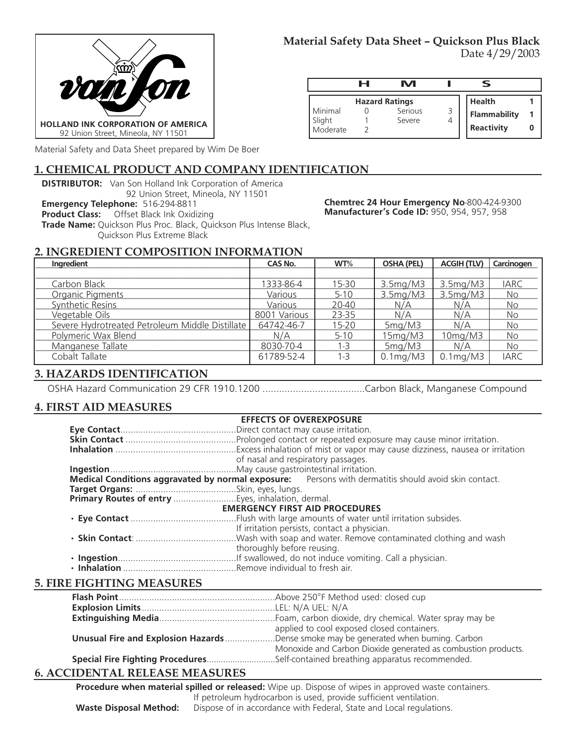

|                    | н | M                     |                     |  |
|--------------------|---|-----------------------|---------------------|--|
|                    |   | <b>Hazard Ratings</b> | <b>Health</b>       |  |
| Minimal            |   | Serious               | <b>Flammability</b> |  |
| Slight<br>Moderate |   | Severe                | <b>Reactivity</b>   |  |

Material Safety and Data Sheet prepared by Wim De Boer

## **1. CHEMICAL PRODUCT AND COMPANY IDENTIFICATION**

**DISTRIBUTOR:** Van Son Holland Ink Corporation of America 92 Union Street, Mineola, NY 11501

**Emergency Telephone:** 516-294-8811

**Product Class:** Offset Black Ink Oxidizing

**Trade Name:** Quickson Plus Proc. Black, Quickson Plus Intense Black, Quickson Plus Extreme Black

**Chemtrec 24 Hour Emergency No**-800-424-9300 **Manufacturer's Code ID:** 950, 954, 957, 958

# **2. INGREDIENT COMPOSITION INFORMATION**

| Ingredient                                      | CAS No.      | WT%       | <b>OSHA (PEL)</b>          | <b>ACGIH (TLV)</b>         | Carcinogen  |
|-------------------------------------------------|--------------|-----------|----------------------------|----------------------------|-------------|
|                                                 |              |           |                            |                            |             |
| Carbon Black                                    | 1333-86-4    | 15-30     | 3.5mg/M3                   | 3.5mg/M3                   | <b>IARC</b> |
| Organic Pigments                                | Various      | $5-10$    | 3.5mg/M3                   | 3.5mg/M3                   | <b>No</b>   |
| Synthetic Resins                                | Various      | 20-40     | N/A                        | N/A                        | No          |
| Vegetable Oils                                  | 8001 Various | 23-35     | N/A                        | N/A                        | <b>No</b>   |
| Severe Hydrotreated Petroleum Middle Distillate | 64742-46-7   | $15 - 20$ | 5mg/M3                     | N/A                        | No          |
| Polymeric Wax Blend                             | N/A          | $5-10$    | 15mg/M3                    | 10mg/M3                    | <b>No</b>   |
| Manganese Tallate                               | 8030-70-4    | $1 - 3$   | 5mg/M3                     | N/A                        | <b>No</b>   |
| Cobalt Tallate                                  | 61789-52-4   | $1 - 3$   | $0.1 \text{mg}/\text{M}$ 3 | $0.1 \text{mg}/\text{M}$ 3 | <b>IARC</b> |

## **3. HAZARDS IDENTIFICATION**

OSHA Hazard Communication 29 CFR 1910.1200 .....................................Carbon Black, Manganese Compound

## **4. FIRST AID MEASURES**

| <b>EFFECTS OF OVEREXPOSURE</b>                                                                       |  |  |  |
|------------------------------------------------------------------------------------------------------|--|--|--|
|                                                                                                      |  |  |  |
|                                                                                                      |  |  |  |
|                                                                                                      |  |  |  |
| of nasal and respiratory passages.                                                                   |  |  |  |
|                                                                                                      |  |  |  |
| Medical Conditions aggravated by normal exposure: Persons with dermatitis should avoid skin contact. |  |  |  |
|                                                                                                      |  |  |  |
| Primary Routes of entry Eyes, inhalation, dermal.                                                    |  |  |  |
| <b>EMERGENCY FIRST AID PROCEDURES</b>                                                                |  |  |  |
|                                                                                                      |  |  |  |
| If irritation persists, contact a physician.                                                         |  |  |  |
|                                                                                                      |  |  |  |
| thoroughly before reusing.                                                                           |  |  |  |
|                                                                                                      |  |  |  |
|                                                                                                      |  |  |  |

### **5. FIRE FIGHTING MEASURES**

| applied to cool exposed closed containers.                                                  |
|---------------------------------------------------------------------------------------------|
| <b>Unusual Fire and Explosion Hazards</b> Dense smoke may be generated when burning. Carbon |
| Monoxide and Carbon Dioxide generated as combustion products.                               |
| Special Fire Fighting ProceduresSelf-contained breathing apparatus recommended.             |

## **6. ACCIDENTAL RELEASE MEASURES**

**Procedure when material spilled or released:** Wipe up. Dispose of wipes in approved waste containers. If petroleum hydrocarbon is used, provide sufficient ventilation. **Waste Disposal Method:** Dispose of in accordance with Federal, State and Local regulations.